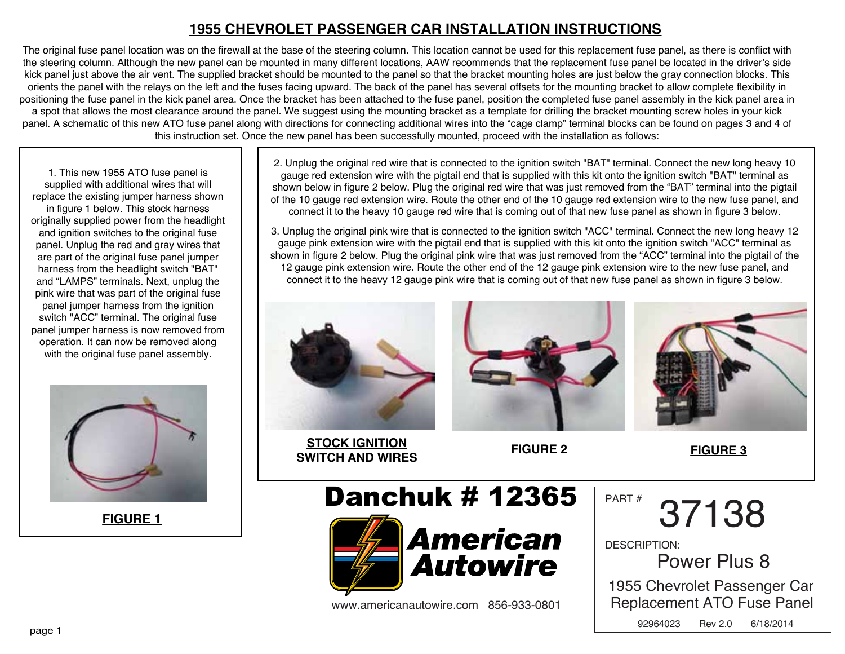### **1955 CHEVROLET PASSENGER CAR INSTALLATION INSTRUCTIONS**

The original fuse panel location was on the firewall at the base of the steering column. This location cannot be used for this replacement fuse panel, as there is conflict with the steering column. Although the new panel can be mounted in many different locations, AAW recommends that the replacement fuse panel be located in the driver's side kick panel just above the air vent. The supplied bracket should be mounted to the panel so that the bracket mounting holes are just below the gray connection blocks. This orients the panel with the relays on the left and the fuses facing upward. The back of the panel has several offsets for the mounting bracket to allow complete flexibility in positioning the fuse panel in the kick panel area. Once the bracket has been attached to the fuse panel, position the completed fuse panel assembly in the kick panel area in a spot that allows the most clearance around the panel. We suggest using the mounting bracket as a template for drilling the bracket mounting screw holes in your kick panel. A schematic of this new ATO fuse panel along with directions for connecting additional wires into the "cage clamp" terminal blocks can be found on pages 3 and 4 of this instruction set. Once the new panel has been successfully mounted, proceed with the installation as follows:

1. This new 1955 ATO fuse panel is supplied with additional wires that will replace the existing jumper harness shown in figure 1 below. This stock harness originally supplied power from the headlight and ignition switches to the original fuse panel. Unplug the red and gray wires that are part of the original fuse panel jumper harness from the headlight switch "BAT" and "LAMPS" terminals. Next, unplug the pink wire that was part of the original fuse panel jumper harness from the ignition switch "ACC" terminal. The original fuse panel jumper harness is now removed from operation. It can now be removed along with the original fuse panel assembly.



**FIGURE 1**

2. Unplug the original red wire that is connected to the ignition switch "BAT" terminal. Connect the new long heavy 10 gauge red extension wire with the pigtail end that is supplied with this kit onto the ignition switch "BAT" terminal as shown below in figure 2 below. Plug the original red wire that was just removed from the "BAT" terminal into the pigtail of the 10 gauge red extension wire. Route the other end of the 10 gauge red extension wire to the new fuse panel, and connect it to the heavy 10 gauge red wire that is coming out of that new fuse panel as shown in figure 3 below.

3. Unplug the original pink wire that is connected to the ignition switch "ACC" terminal. Connect the new long heavy 12 gauge pink extension wire with the pigtail end that is supplied with this kit onto the ignition switch "ACC" terminal as shown in figure 2 below. Plug the original pink wire that was just removed from the "ACC" terminal into the pigtail of the 12 gauge pink extension wire. Route the other end of the 12 gauge pink extension wire to the new fuse panel, and connect it to the heavy 12 gauge pink wire that is coming out of that new fuse panel as shown in figure 3 below.



**STOCK IGNITION SWITCH AND WIRES FIGURE 2**



**FIGURE 3**

# Danchuk # 12365



www.americanautowire.com 856-933-0801

PART # 37138

DESCRIPTION:

Power Plus 8

1955 Chevrolet Passenger Car Replacement ATO Fuse Panel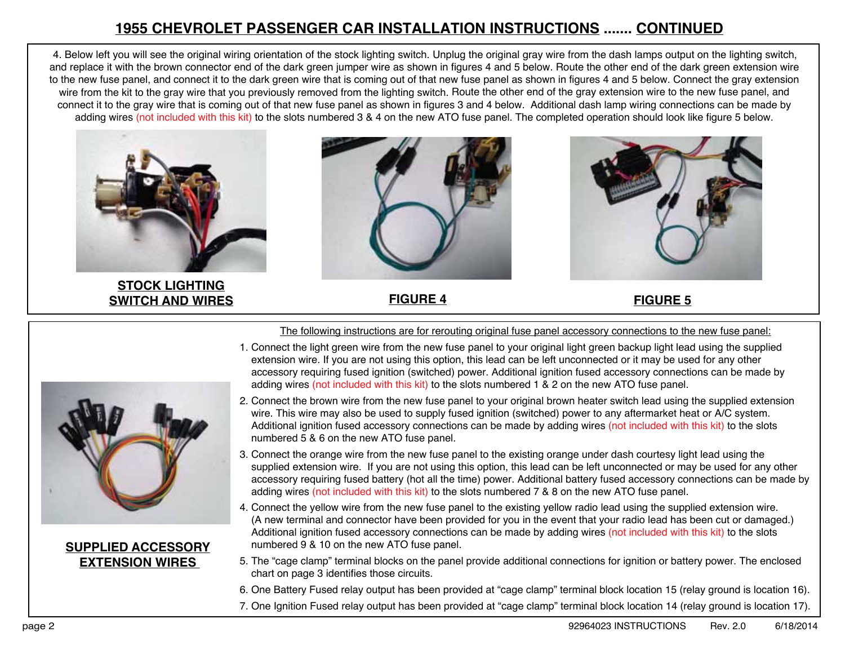## **1955 CHEVROLET PASSENGER CAR INSTALLATION INSTRUCTIONS ....... CONTINUED**

4. Below left you will see the original wiring orientation of the stock lighting switch. Unplug the original gray wire from the dash lamps output on the lighting switch, and replace it with the brown connector end of the dark green jumper wire as shown in figures 4 and 5 below. Route the other end of the dark green extension wire to the new fuse panel, and connect it to the dark green wire that is coming out of that new fuse panel as shown in figures 4 and 5 below. Connect the gray extension wire from the kit to the gray wire that you previously removed from the lighting switch. Route the other end of the gray extension wire to the new fuse panel, and connect it to the gray wire that is coming out of that new fuse panel as shown in figures 3 and 4 below. Additional dash lamp wiring connections can be made by adding wires (not included with this kit) to the slots numbered 3 & 4 on the new ATO fuse panel. The completed operation should look like figure 5 below.



**STOCK LIGHTING SWITCH AND WIRES FIGURE 4 FIGURE 5**







**SUPPLIED ACCESSORY EXTENSION WIRES** 

The following instructions are for rerouting original fuse panel accessory connections to the new fuse panel:

- 1. Connect the light green wire from the new fuse panel to your original light green backup light lead using the supplied extension wire. If you are not using this option, this lead can be left unconnected or it may be used for any other accessory requiring fused ignition (switched) power. Additional ignition fused accessory connections can be made by adding wires (not included with this kit) to the slots numbered 1 & 2 on the new ATO fuse panel.
- 2. Connect the brown wire from the new fuse panel to your original brown heater switch lead using the supplied extension wire. This wire may also be used to supply fused ignition (switched) power to any aftermarket heat or A/C system. Additional ignition fused accessory connections can be made by adding wires (not included with this kit) to the slots numbered 5 & 6 on the new ATO fuse panel.
- 3. Connect the orange wire from the new fuse panel to the existing orange under dash courtesy light lead using the supplied extension wire. If you are not using this option, this lead can be left unconnected or may be used for any other accessory requiring fused battery (hot all the time) power. Additional battery fused accessory connections can be made by adding wires (not included with this kit) to the slots numbered 7 & 8 on the new ATO fuse panel.
- 4. Connect the yellow wire from the new fuse panel to the existing yellow radio lead using the supplied extension wire. (A new terminal and connector have been provided for you in the event that your radio lead has been cut or damaged.) Additional ignition fused accessory connections can be made by adding wires (not included with this kit) to the slots numbered 9 & 10 on the new ATO fuse panel.
- 5. The "cage clamp" terminal blocks on the panel provide additional connections for ignition or battery power. The enclosed chart on page 3 identifies those circuits.
- 6. One Battery Fused relay output has been provided at "cage clamp" terminal block location 15 (relay ground is location 16).
- 7. One Ignition Fused relay output has been provided at "cage clamp" terminal block location 14 (relay ground is location 17).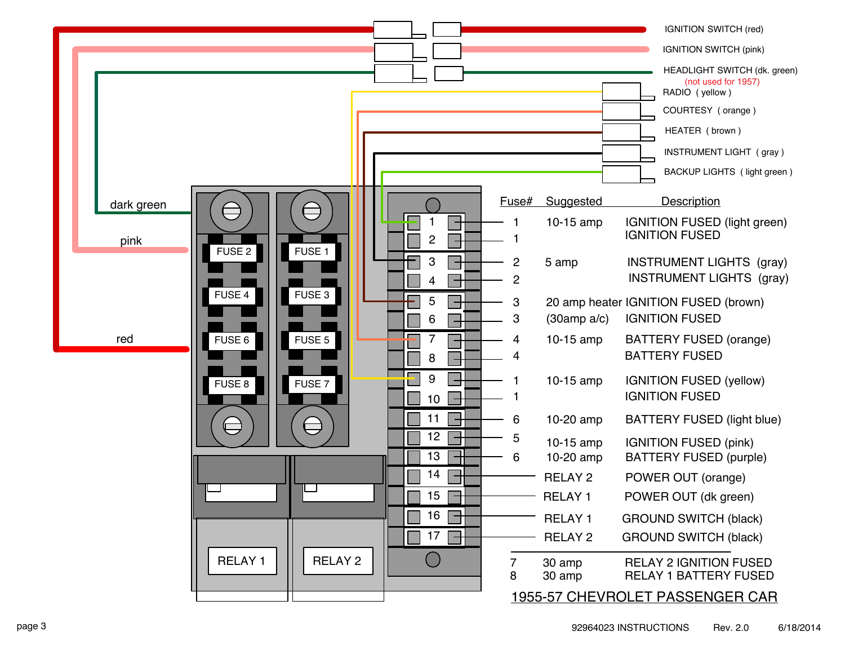